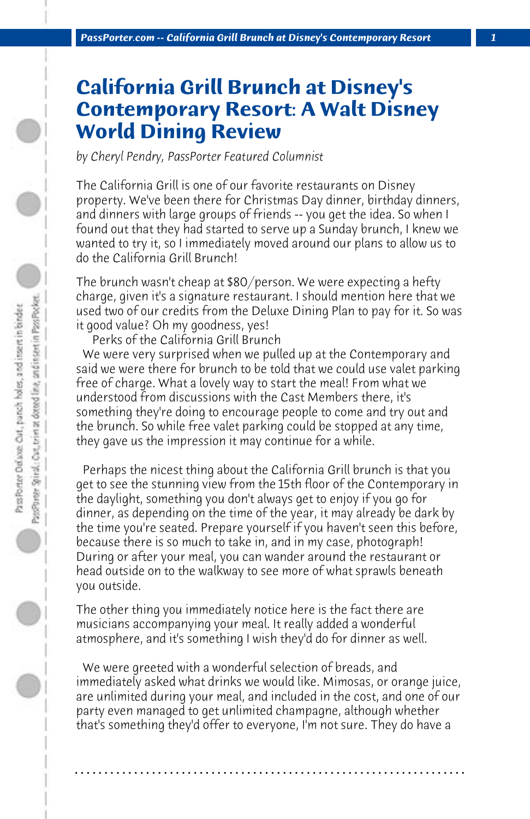## **California Grill Brunch at Disney's Contemporary Resort: A Walt Disney World Dining Review**

*by Cheryl Pendry, PassPorter Featured Columnist*

The California Grill is one of our favorite restaurants on Disney property. We've been there for Christmas Day dinner, birthday dinners, and dinners with large groups of friends -- you get the idea. So when I found out that they had started to serve up a Sunday brunch, I knew we wanted to try it, so I immediately moved around our plans to allow us to do the California Grill Brunch!

The brunch wasn't cheap at \$80/person. We were expecting a hefty charge, given it's a signature restaurant. I should mention here that we used two of our credits from the Deluxe Dining Plan to pay for it. So was it good value? Oh my goodness, yes!

 Perks of the California Grill Brunch

 We were very surprised when we pulled up at the Contemporary and said we were there for brunch to be told that we could use valet parking free of charge. What a lovely way to start the meal! From what we understood from discussions with the Cast Members there, it's something they're doing to encourage people to come and try out and the brunch. So while free valet parking could be stopped at any time, they gave us the impression it may continue for a while.

 Perhaps the nicest thing about the California Grill brunch is that you get to see the stunning view from the 15th floor of the Contemporary in the daylight, something you don't always get to enjoy if you go for dinner, as depending on the time of the year, it may already be dark by the time you're seated. Prepare yourself if you haven't seen this before, because there is so much to take in, and in my case, photograph! During or after your meal, you can wander around the restaurant or head outside on to the walkway to see more of what sprawls beneath you outside.

The other thing you immediately notice here is the fact there are musicians accompanying your meal. It really added a wonderful atmosphere, and it's something I wish they'd do for dinner as well.

 We were greeted with a wonderful selection of breads, and immediately asked what drinks we would like. Mimosas, or orange juice, are unlimited during your meal, and included in the cost, and one of our party even managed to get unlimited champagne, although whether that's something they'd offer to everyone, I'm not sure. They do have a

**. . . . . . . . . . . . . . . . . . . . . . . . . . . . . . . . . . . . . . . . . . . . . . . . . . . . . . . . . . . . . . . . . .**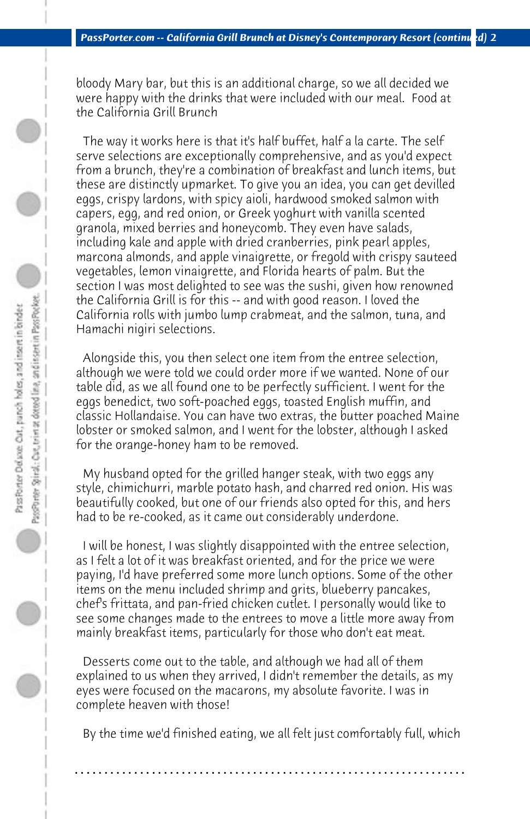bloody Mary bar, but this is an additional charge, so we all decided we were happy with the drinks that were included with our meal. Food at the California Grill Brunch

 The way it works here is that it's half buffet, half a la carte. The self serve selections are exceptionally comprehensive, and as you'd expect from a brunch, they're a combination of breakfast and lunch items, but these are distinctly upmarket. To give you an idea, you can get devilled eggs, crispy lardons, with spicy aioli, hardwood smoked salmon with capers, egg, and red onion, or Greek yoghurt with vanilla scented granola, mixed berries and honeycomb. They even have salads, including kale and apple with dried cranberries, pink pearl apples, marcona almonds, and apple vinaigrette, or fregold with crispy sauteed vegetables, lemon vinaigrette, and Florida hearts of palm. But the section I was most delighted to see was the sushi, given how renowned the California Grill is for this -- and with good reason. I loved the California rolls with jumbo lump crabmeat, and the salmon, tuna, and Hamachi nigiri selections.

 Alongside this, you then select one item from the entree selection, although we were told we could order more if we wanted. None of our table did, as we all found one to be perfectly sufficient. I went for the eggs benedict, two soft-poached eggs, toasted English muffin, and classic Hollandaise. You can have two extras, the butter poached Maine lobster or smoked salmon, and I went for the lobster, although I asked for the orange-honey ham to be removed.

 My husband opted for the grilled hanger steak, with two eggs any style, chimichurri, marble potato hash, and charred red onion. His was beautifully cooked, but one of our friends also opted for this, and hers had to be re-cooked, as it came out considerably underdone.

 I will be honest, I was slightly disappointed with the entree selection, as I felt a lot of it was breakfast oriented, and for the price we were paying, I'd have preferred some more lunch options. Some of the other items on the menu included shrimp and grits, blueberry pancakes, chef's frittata, and pan-fried chicken cutlet. I personally would like to see some changes made to the entrees to move a little more away from mainly breakfast items, particularly for those who don't eat meat.

 Desserts come out to the table, and although we had all of them explained to us when they arrived, I didn't remember the details, as my eyes were focused on the macarons, my absolute favorite. I was in complete heaven with those!

 By the time we'd finished eating, we all felt just comfortably full, which

**. . . . . . . . . . . . . . . . . . . . . . . . . . . . . . . . . . . . . . . . . . . . . . . . . . . . . . . . . . . . . . . . . .**